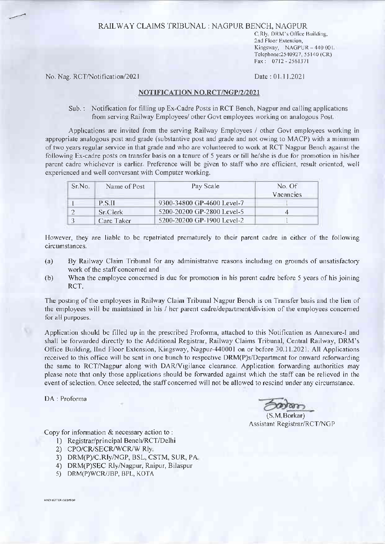### RAILWAY CLAIMS IRIBUNAL : NAGPUR BENCH, NAGPUR

C Rly, DRM's Office Building. 2nd Floor Extention, Kingsway, NAGPUR - 440 001. Telephone:2540927, 55140 (CR) Fax: 0712 - 2561371

No. Nag. RCT/Notification/2021 Date: 01 11.2021

#### NOTIFICATTON NO.RCT/NGP/2/202I

Sub. : Notification for filling up Ex-Cadre Posts in RCT Bench, Nagpur and calling applications from serving Railway Employees/ other Covt employees working on analogous Post

Applications are invited from the serving Railway Employees / other Govt employees working in appropriate analogous post and grade (substantive post and grade and not owing to MACP) with a minrmum of two years regular service in that grade and who are volunteered to work at RCT Nagpur Bench against the following Ex-cadre posts on transfer basis on a tcnure of 5 years or till he/she is due for promotion in his/her parent cadre whichever is earlier. Prefcrence will be given to staff who are efficient, result oriented, well experienced and well conversant with Computer working.

| Sr No. | Name of Post | Pay Scale                  | No. Of<br>Vacancies |
|--------|--------------|----------------------------|---------------------|
|        | <b>PSII</b>  | 9300-34800 GP-4600 Level-7 |                     |
|        | Sr Clerk     | 5200-20200 GP-2800 Level-5 |                     |
|        | Care Taker   | 5200-20200 GP-1900 Level-2 |                     |

However, they are liable to be repatriated prematurely to their parent cadre in cither of the following circumstances.

- (a) By Railway Claim Tribunal for any administrative reasons including on grounds of unsatisfactory work of the staff concerned and
- (b) When the employee concerned is due for promotion in his parent cadre before 5 years of his joining RCT,

The posting of the employees in Railway Claim Tribunal Nagpur Bench is on Transfer basis and the lien of the employees will be maintained in his / her parent cadre/department/division of the employees concerned for all purposes.

Application should be filled up in the prescribed Proforma, attached to this Notification as Annexure-I and shall be forwarded directly to thc Additional Registrar, Railway Claims Tribunal, Central Railway, DRM's Office Building, IInd Floor Extension, Kingsway, Nagpur-440001 on or before 30.11 2021. All Applications received to this office will be sent in one bunch to respective DRM(P)s/Department for onward reforwarding the same to RCT,Nagpur along with DAR/Vrgilance clearance. Application forwarding authorities may please note that only those applications should be forwarded against which the staff can be relicved in the event of selection Once selected, the staff concerned will not be allowed to rescind under any circumstance.

DA : Proforma

(S M Borkar) Assistant Registrar/RCT/NGP

Copy for information  $&$  necessary action to:

- 1) Registrar/principal Bench/RCT/Delhi
- 2) CPO/CR/SECR/WCR/W Rly
- 3) DRM(P)/C.R|y,NCP, BSL, CSTM, SUR, PA
- a) DRM(P)SEC Rly,Nagpur, Raipur, Bilaspur
- 5) DRM(P)WCR/JBP, BPL, KOTA

HINDI LETTER (DESKTOP